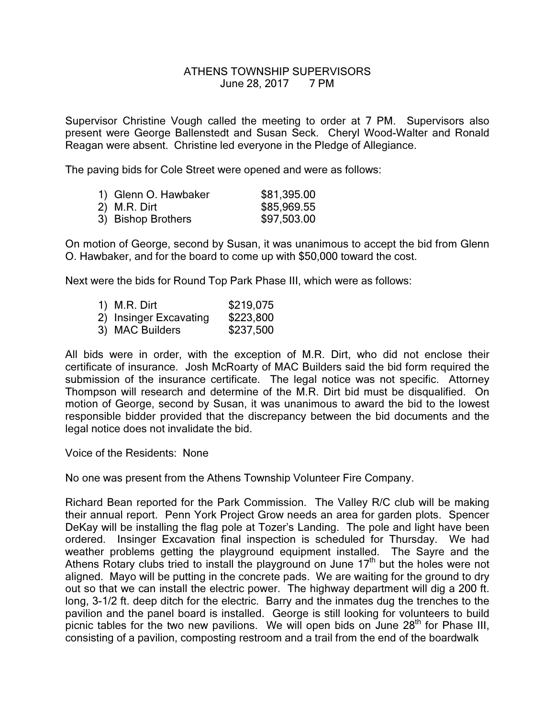## ATHENS TOWNSHIP SUPERVISORS June 28, 2017 7 PM

Supervisor Christine Vough called the meeting to order at 7 PM. Supervisors also present were George Ballenstedt and Susan Seck. Cheryl Wood-Walter and Ronald Reagan were absent. Christine led everyone in the Pledge of Allegiance.

The paving bids for Cole Street were opened and were as follows:

| 1) Glenn O. Hawbaker | \$81,395.00 |
|----------------------|-------------|
| 2) M.R. Dirt         | \$85,969.55 |
| 3) Bishop Brothers   | \$97,503.00 |

On motion of George, second by Susan, it was unanimous to accept the bid from Glenn O. Hawbaker, and for the board to come up with \$50,000 toward the cost.

Next were the bids for Round Top Park Phase III, which were as follows:

- 1) M.R. Dirt \$219,075 2) Insinger Excavating \$223,800
- 3) MAC Builders \$237,500

All bids were in order, with the exception of M.R. Dirt, who did not enclose their certificate of insurance. Josh McRoarty of MAC Builders said the bid form required the submission of the insurance certificate. The legal notice was not specific. Attorney Thompson will research and determine of the M.R. Dirt bid must be disqualified. On motion of George, second by Susan, it was unanimous to award the bid to the lowest responsible bidder provided that the discrepancy between the bid documents and the legal notice does not invalidate the bid.

Voice of the Residents: None

No one was present from the Athens Township Volunteer Fire Company.

Richard Bean reported for the Park Commission. The Valley R/C club will be making their annual report. Penn York Project Grow needs an area for garden plots. Spencer DeKay will be installing the flag pole at Tozer's Landing. The pole and light have been ordered. Insinger Excavation final inspection is scheduled for Thursday. We had weather problems getting the playground equipment installed. The Sayre and the Athens Rotary clubs tried to install the playground on June 17<sup>th</sup> but the holes were not aligned. Mayo will be putting in the concrete pads. We are waiting for the ground to dry out so that we can install the electric power. The highway department will dig a 200 ft. long, 3-1/2 ft. deep ditch for the electric. Barry and the inmates dug the trenches to the pavilion and the panel board is installed. George is still looking for volunteers to build picnic tables for the two new pavilions. We will open bids on June  $28<sup>th</sup>$  for Phase III, consisting of a pavilion, composting restroom and a trail from the end of the boardwalk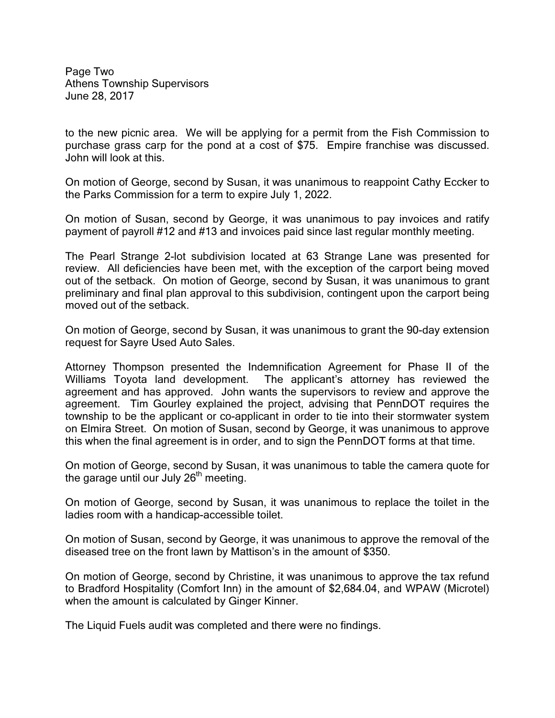Page Two Athens Township Supervisors June 28, 2017

to the new picnic area. We will be applying for a permit from the Fish Commission to purchase grass carp for the pond at a cost of \$75. Empire franchise was discussed. John will look at this.

On motion of George, second by Susan, it was unanimous to reappoint Cathy Eccker to the Parks Commission for a term to expire July 1, 2022.

On motion of Susan, second by George, it was unanimous to pay invoices and ratify payment of payroll #12 and #13 and invoices paid since last regular monthly meeting.

The Pearl Strange 2-lot subdivision located at 63 Strange Lane was presented for review. All deficiencies have been met, with the exception of the carport being moved out of the setback. On motion of George, second by Susan, it was unanimous to grant preliminary and final plan approval to this subdivision, contingent upon the carport being moved out of the setback.

On motion of George, second by Susan, it was unanimous to grant the 90-day extension request for Sayre Used Auto Sales.

Attorney Thompson presented the Indemnification Agreement for Phase II of the Williams Toyota land development. The applicant's attorney has reviewed the agreement and has approved. John wants the supervisors to review and approve the agreement. Tim Gourley explained the project, advising that PennDOT requires the township to be the applicant or co-applicant in order to tie into their stormwater system on Elmira Street. On motion of Susan, second by George, it was unanimous to approve this when the final agreement is in order, and to sign the PennDOT forms at that time.

On motion of George, second by Susan, it was unanimous to table the camera quote for the garage until our July  $26<sup>th</sup>$  meeting.

On motion of George, second by Susan, it was unanimous to replace the toilet in the ladies room with a handicap-accessible toilet.

On motion of Susan, second by George, it was unanimous to approve the removal of the diseased tree on the front lawn by Mattison's in the amount of \$350.

On motion of George, second by Christine, it was unanimous to approve the tax refund to Bradford Hospitality (Comfort Inn) in the amount of \$2,684.04, and WPAW (Microtel) when the amount is calculated by Ginger Kinner.

The Liquid Fuels audit was completed and there were no findings.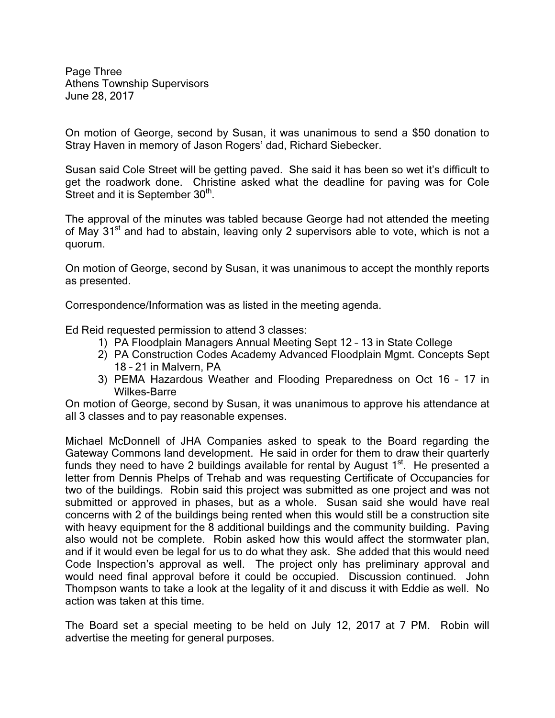Page Three Athens Township Supervisors June 28, 2017

On motion of George, second by Susan, it was unanimous to send a \$50 donation to Stray Haven in memory of Jason Rogers' dad, Richard Siebecker.

Susan said Cole Street will be getting paved. She said it has been so wet it's difficult to get the roadwork done. Christine asked what the deadline for paving was for Cole Street and it is September 30<sup>th</sup>.

The approval of the minutes was tabled because George had not attended the meeting of May 31<sup>st</sup> and had to abstain, leaving only 2 supervisors able to vote, which is not a quorum.

On motion of George, second by Susan, it was unanimous to accept the monthly reports as presented.

Correspondence/Information was as listed in the meeting agenda.

Ed Reid requested permission to attend 3 classes:

- 1) PA Floodplain Managers Annual Meeting Sept 12 13 in State College
- 2) PA Construction Codes Academy Advanced Floodplain Mgmt. Concepts Sept 18 – 21 in Malvern, PA
- 3) PEMA Hazardous Weather and Flooding Preparedness on Oct 16 17 in Wilkes-Barre

On motion of George, second by Susan, it was unanimous to approve his attendance at all 3 classes and to pay reasonable expenses.

Michael McDonnell of JHA Companies asked to speak to the Board regarding the Gateway Commons land development. He said in order for them to draw their quarterly funds they need to have 2 buildings available for rental by August  $1<sup>st</sup>$ . He presented a letter from Dennis Phelps of Trehab and was requesting Certificate of Occupancies for two of the buildings. Robin said this project was submitted as one project and was not submitted or approved in phases, but as a whole. Susan said she would have real concerns with 2 of the buildings being rented when this would still be a construction site with heavy equipment for the 8 additional buildings and the community building. Paving also would not be complete. Robin asked how this would affect the stormwater plan, and if it would even be legal for us to do what they ask. She added that this would need Code Inspection's approval as well. The project only has preliminary approval and would need final approval before it could be occupied. Discussion continued. John Thompson wants to take a look at the legality of it and discuss it with Eddie as well. No action was taken at this time.

The Board set a special meeting to be held on July 12, 2017 at 7 PM. Robin will advertise the meeting for general purposes.